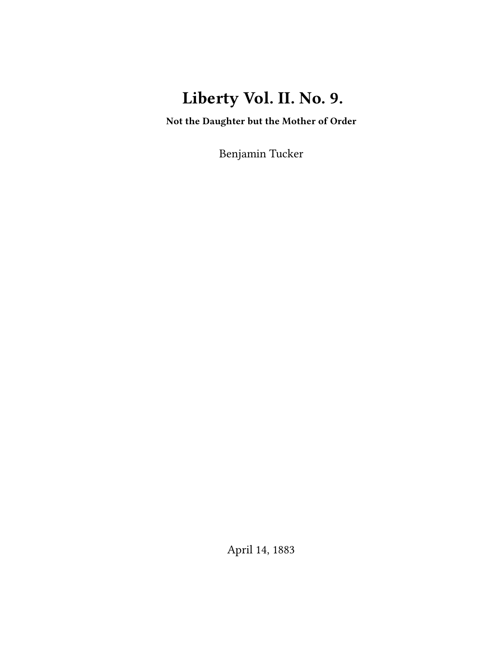# **Liberty Vol. II. No. 9.**

**Not the Daughter but the Mother of Order**

Benjamin Tucker

April 14, 1883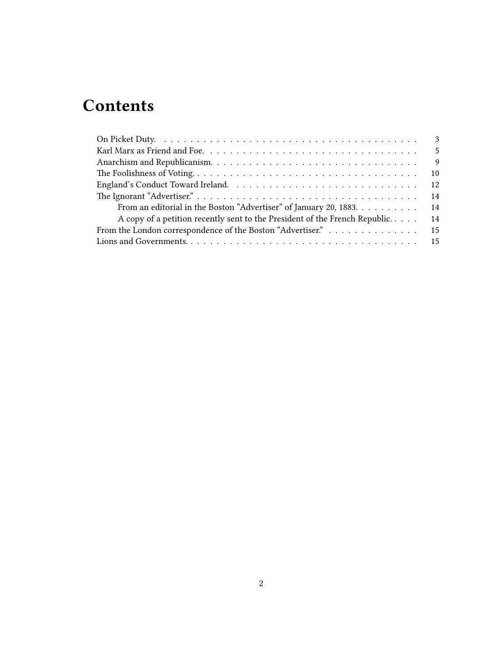# **Contents**

| $\overline{\mathbf{3}}$                                                          |  |
|----------------------------------------------------------------------------------|--|
| $-5$                                                                             |  |
| - 9                                                                              |  |
| 10                                                                               |  |
| -12                                                                              |  |
| -14                                                                              |  |
| From an editorial in the Boston "Advertiser" of January 20, 1883.<br>14          |  |
| A copy of a petition recently sent to the President of the French Republic<br>14 |  |
| From the London correspondence of the Boston "Advertiser."<br>-15                |  |
|                                                                                  |  |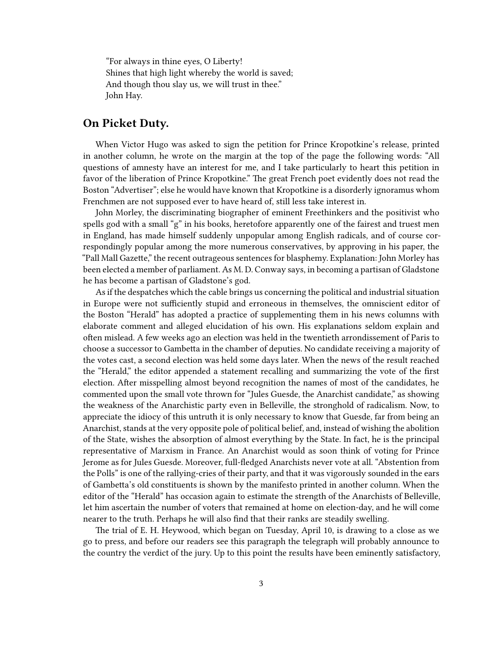"For always in thine eyes, O Liberty! Shines that high light whereby the world is saved; And though thou slay us, we will trust in thee." John Hay.

## <span id="page-2-0"></span>**On Picket Duty.**

When Victor Hugo was asked to sign the petition for Prince Kropotkine's release, printed in another column, he wrote on the margin at the top of the page the following words: "All questions of amnesty have an interest for me, and I take particularly to heart this petition in favor of the liberation of Prince Kropotkine." The great French poet evidently does not read the Boston "Advertiser"; else he would have known that Kropotkine is a disorderly ignoramus whom Frenchmen are not supposed ever to have heard of, still less take interest in.

John Morley, the discriminating biographer of eminent Freethinkers and the positivist who spells god with a small "g" in his books, heretofore apparently one of the fairest and truest men in England, has made himself suddenly unpopular among English radicals, and of course correspondingly popular among the more numerous conservatives, by approving in his paper, the "Pall Mall Gazette," the recent outrageous sentences for blasphemy. Explanation: John Morley has been elected a member of parliament. As M. D. Conway says, in becoming a partisan of Gladstone he has become a partisan of Gladstone's god.

As if the despatches which the cable brings us concerning the political and industrial situation in Europe were not sufficiently stupid and erroneous in themselves, the omniscient editor of the Boston "Herald" has adopted a practice of supplementing them in his news columns with elaborate comment and alleged elucidation of his own. His explanations seldom explain and often mislead. A few weeks ago an election was held in the twentieth arrondissement of Paris to choose a successor to Gambetta in the chamber of deputies. No candidate receiving a majority of the votes cast, a second election was held some days later. When the news of the result reached the "Herald," the editor appended a statement recalling and summarizing the vote of the first election. After misspelling almost beyond recognition the names of most of the candidates, he commented upon the small vote thrown for "Jules Guesde, the Anarchist candidate," as showing the weakness of the Anarchistic party even in Belleville, the stronghold of radicalism. Now, to appreciate the idiocy of this untruth it is only necessary to know that Guesde, far from being an Anarchist, stands at the very opposite pole of political belief, and, instead of wishing the abolition of the State, wishes the absorption of almost everything by the State. In fact, he is the principal representative of Marxism in France. An Anarchist would as soon think of voting for Prince Jerome as for Jules Guesde. Moreover, full-fledged Anarchists never vote at all. "Abstention from the Polls" is one of the rallying-cries of their party, and that it was vigorously sounded in the ears of Gambetta's old constituents is shown by the manifesto printed in another column. When the editor of the "Herald" has occasion again to estimate the strength of the Anarchists of Belleville, let him ascertain the number of voters that remained at home on election-day, and he will come nearer to the truth. Perhaps he will also find that their ranks are steadily swelling.

The trial of E. H. Heywood, which began on Tuesday, April 10, is drawing to a close as we go to press, and before our readers see this paragraph the telegraph will probably announce to the country the verdict of the jury. Up to this point the results have been eminently satisfactory,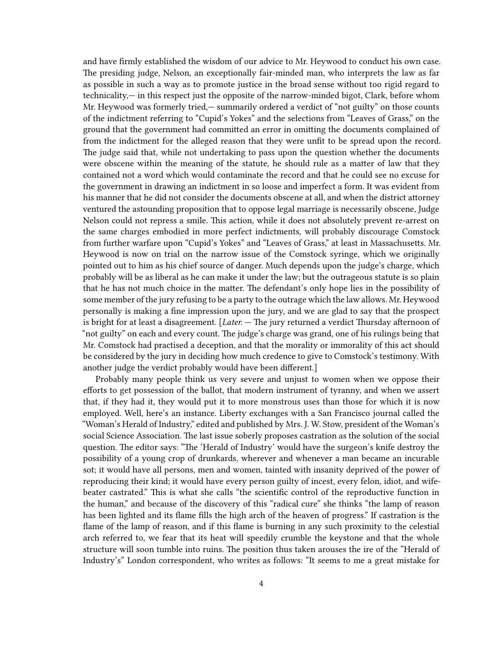and have firmly established the wisdom of our advice to Mr. Heywood to conduct his own case. The presiding judge, Nelson, an exceptionally fair-minded man, who interprets the law as far as possible in such a way as to promote justice in the broad sense without too rigid regard to technicality,— in this respect just the opposite of the narrow-minded bigot, Clark, before whom Mr. Heywood was formerly tried,— summarily ordered a verdict of "not guilty" on those counts of the indictment referring to "Cupid's Yokes" and the selections from "Leaves of Grass," on the ground that the government had committed an error in omitting the documents complained of from the indictment for the alleged reason that they were unfit to be spread upon the record. The judge said that, while not undertaking to pass upon the question whether the documents were obscene within the meaning of the statute, he should rule as a matter of law that they contained not a word which would contaminate the record and that he could see no excuse for the government in drawing an indictment in so loose and imperfect a form. It was evident from his manner that he did not consider the documents obscene at all, and when the district attorney ventured the astounding proposition that to oppose legal marriage is necessarily obscene, Judge Nelson could not repress a smile. This action, while it does not absolutely prevent re-arrest on the same charges embodied in more perfect indictments, will probably discourage Comstock from further warfare upon "Cupid's Yokes" and "Leaves of Grass," at least in Massachusetts. Mr. Heywood is now on trial on the narrow issue of the Comstock syringe, which we originally pointed out to him as his chief source of danger. Much depends upon the judge's charge, which probably will be as liberal as he can make it under the law; but the outrageous statute is so plain that he has not much choice in the matter. The defendant's only hope lies in the possibility of some member of the jury refusing to be a party to the outrage which the law allows. Mr. Heywood personally is making a fine impression upon the jury, and we are glad to say that the prospect is bright for at least a disagreement. [*Later.* — The jury returned a verdict Thursday afternoon of "not guilty" on each and every count. The judge's charge was grand, one of his rulings being that Mr. Comstock had practised a deception, and that the morality or immorality of this act should be considered by the jury in deciding how much credence to give to Comstock's testimony. With another judge the verdict probably would have been different.]

Probably many people think us very severe and unjust to women when we oppose their efforts to get possession of the ballot, that modern instrument of tyranny, and when we assert that, if they had it, they would put it to more monstrous uses than those for which it is now employed. Well, here's an instance. Liberty exchanges with a San Francisco journal called the "Woman's Herald of Industry," edited and published by Mrs. J. W. Stow, president of the Woman's social Science Association. The last issue soberly proposes castration as the solution of the social question. The editor says: "The 'Herald of Industry' would have the surgeon's knife destroy the possibility of a young crop of drunkards, wherever and whenever a man became an incurable sot; it would have all persons, men and women, tainted with insanity deprived of the power of reproducing their kind; it would have every person guilty of incest, every felon, idiot, and wifebeater castrated." This is what she calls "the scientific control of the reproductive function in the human," and because of the discovery of this "radical cure" she thinks "the lamp of reason has been lighted and its flame fills the high arch of the heaven of progress." If castration is the flame of the lamp of reason, and if this flame is burning in any such proximity to the celestial arch referred to, we fear that its heat will speedily crumble the keystone and that the whole structure will soon tumble into ruins. The position thus taken arouses the ire of the "Herald of Industry's" London correspondent, who writes as follows: "It seems to me a great mistake for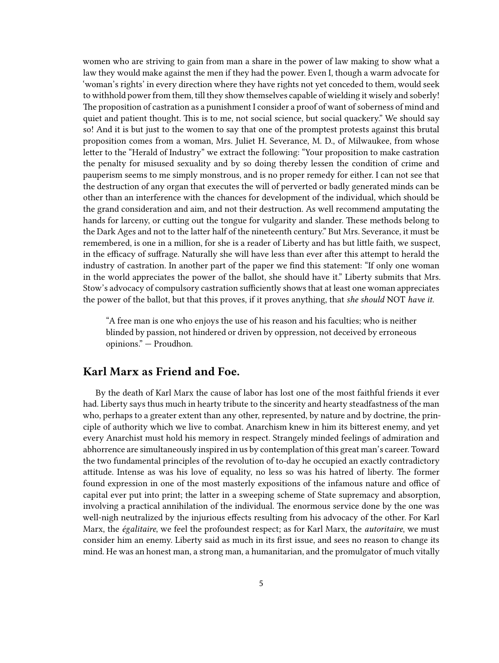women who are striving to gain from man a share in the power of law making to show what a law they would make against the men if they had the power. Even I, though a warm advocate for 'woman's rights' in every direction where they have rights not yet conceded to them, would seek to withhold power from them, till they show themselves capable of wielding it wisely and soberly! The proposition of castration as a punishment I consider a proof of want of soberness of mind and quiet and patient thought. This is to me, not social science, but social quackery." We should say so! And it is but just to the women to say that one of the promptest protests against this brutal proposition comes from a woman, Mrs. Juliet H. Severance, M. D., of Milwaukee, from whose letter to the "Herald of Industry" we extract the following: "Your proposition to make castration the penalty for misused sexuality and by so doing thereby lessen the condition of crime and pauperism seems to me simply monstrous, and is no proper remedy for either. I can not see that the destruction of any organ that executes the will of perverted or badly generated minds can be other than an interference with the chances for development of the individual, which should be the grand consideration and aim, and not their destruction. As well recommend amputating the hands for larceny, or cutting out the tongue for vulgarity and slander. These methods belong to the Dark Ages and not to the latter half of the nineteenth century." But Mrs. Severance, it must be remembered, is one in a million, for she is a reader of Liberty and has but little faith, we suspect, in the efficacy of suffrage. Naturally she will have less than ever after this attempt to herald the industry of castration. In another part of the paper we find this statement: "If only one woman in the world appreciates the power of the ballot, she should have it." Liberty submits that Mrs. Stow's advocacy of compulsory castration sufficiently shows that at least one woman appreciates the power of the ballot, but that this proves, if it proves anything, that *she should* NOT *have it.*

"A free man is one who enjoys the use of his reason and his faculties; who is neither blinded by passion, not hindered or driven by oppression, not deceived by erroneous opinions." — Proudhon.

## <span id="page-4-0"></span>**Karl Marx as Friend and Foe.**

By the death of Karl Marx the cause of labor has lost one of the most faithful friends it ever had. Liberty says thus much in hearty tribute to the sincerity and hearty steadfastness of the man who, perhaps to a greater extent than any other, represented, by nature and by doctrine, the principle of authority which we live to combat. Anarchism knew in him its bitterest enemy, and yet every Anarchist must hold his memory in respect. Strangely minded feelings of admiration and abhorrence are simultaneously inspired in us by contemplation of this great man's career. Toward the two fundamental principles of the revolution of to-day he occupied an exactly contradictory attitude. Intense as was his love of equality, no less so was his hatred of liberty. The former found expression in one of the most masterly expositions of the infamous nature and office of capital ever put into print; the latter in a sweeping scheme of State supremacy and absorption, involving a practical annihilation of the individual. The enormous service done by the one was well-nigh neutralized by the injurious effects resulting from his advocacy of the other. For Karl Marx, the *égalitaire*, we feel the profoundest respect; as for Karl Marx, the *autoritaire*, we must consider him an enemy. Liberty said as much in its first issue, and sees no reason to change its mind. He was an honest man, a strong man, a humanitarian, and the promulgator of much vitally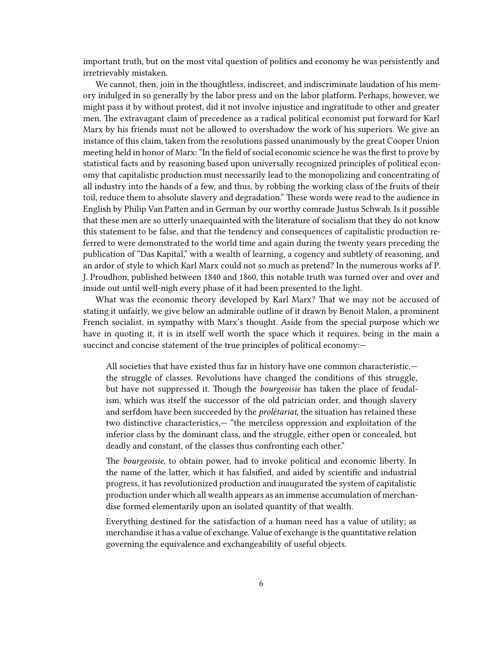important truth, but on the most vital question of politics and economy he was persistently and irretrievably mistaken.

We cannot, then, join in the thoughtless, indiscreet, and indiscriminate laudation of his memory indulged in so generally by the labor press and on the labor platform. Perhaps, however, we might pass it by without protest, did it not involve injustice and ingratitude to other and greater men. The extravagant claim of precedence as a radical political economist put forward for Karl Marx by his friends must not be allowed to overshadow the work of his superiors. We give an instance of this claim, taken from the resolutions passed unanimously by the great Cooper Union meeting held in honor of Marx: "In the field of social economic science he was the first to prove by statistical facts and by reasoning based upon universally recognized principles of political economy that capitalistic production must necessarily lead to the monopolizing and concentrating of all industry into the hands of a few, and thus, by robbing the working class of the fruits of their toil, reduce them to absolute slavery and degradation." These words were read to the audience in English by Philip Van Patten and in German by our worthy comrade Justus Schwab. Is it possible that these men are so utterly unaequainted with the literature of socialism that they do not know this statement to be false, and that the tendency and consequences of capitalistic production referred to were demonstrated to the world time and again during the twenty years preceding the publication of "Das Kapital," with a wealth of learning, a cogency and subtlety of reasoning, and an ardor of style to which Karl Marx could not so much as pretend? In the numerous works af P. J. Proudhon, published between 1840 and 1860, this notable truth was turned over and over and inside out until well-nigh every phase of it had been presented to the light.

What was the economic theory developed by Karl Marx? That we may not be accused of stating it unfairly, we give below an admirable outline of it drawn by Benoit Malon, a prominent French socialist, in sympathy with Marx's thought. Aside from the special purpose which we have in quoting it, it is in itself well worth the space which it requires, being in the main a succinct and concise statement of the true principles of political economy:—

All societies that have existed thus far in history have one common characteristic, the struggle of classes. Revolutions have changed the conditions of this struggle, but have not suppressed it. Though the *bourgeoisie* has taken the place of feudalism, which was itself the successor of the old patrician order, and though slavery and serfdom have been succeeded by the *prolétariat*, the situation has retained these two distinctive characteristics,— "the merciless oppression and exploitation of the inferior class by the dominant class, and the struggle, either open or concealed, but deadly and constant, of the classes thus confronting each other."

The *bourgeoisie*, to obtain power, had to invoke political and economic liberty. In the name of the latter, which it has falsified, and aided by scientific and industrial progress, it has revolutionized production and inaugurated the system of capitalistic production under which all wealth appears as an immense accumulation of merchandise formed elementarily upon an isolated quantity of that wealth.

Everything destined for the satisfaction of a human need has a value of utility; as merchandise it has a value of exchange. Value of exchange is the quantitative relation governing the equivalence and exchangeability of useful objects.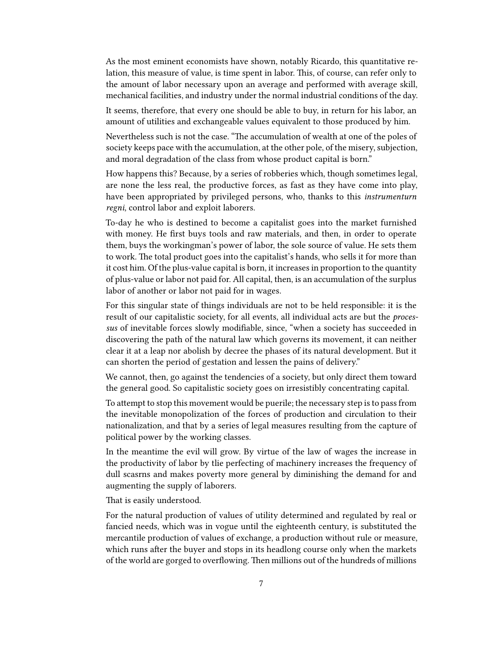As the most eminent economists have shown, notably Ricardo, this quantitative relation, this measure of value, is time spent in labor. This, of course, can refer only to the amount of labor necessary upon an average and performed with average skill, mechanical facilities, and industry under the normal industrial conditions of the day.

It seems, therefore, that every one should be able to buy, in return for his labor, an amount of utilities and exchangeable values equivalent to those produced by him.

Nevertheless such is not the case. "The accumulation of wealth at one of the poles of society keeps pace with the accumulation, at the other pole, of the misery, subjection, and moral degradation of the class from whose product capital is born."

How happens this? Because, by a series of robberies which, though sometimes legal, are none the less real, the productive forces, as fast as they have come into play, have been appropriated by privileged persons, who, thanks to this *instrumenturn regni*, control labor and exploit laborers.

To-day he who is destined to become a capitalist goes into the market furnished with money. He first buys tools and raw materials, and then, in order to operate them, buys the workingman's power of labor, the sole source of value. He sets them to work. The total product goes into the capitalist's hands, who sells it for more than it cost him. Of the plus-value capital is born, it increases in proportion to the quantity of plus-value or labor not paid for. All capital, then, is an accumulation of the surplus labor of another or labor not paid for in wages.

For this singular state of things individuals are not to be held responsible: it is the result of our capitalistic society, for all events, all individual acts are but the *processus* of inevitable forces slowly modifiable, since, "when a society has succeeded in discovering the path of the natural law which governs its movement, it can neither clear it at a leap nor abolish by decree the phases of its natural development. But it can shorten the period of gestation and lessen the pains of delivery."

We cannot, then, go against the tendencies of a society, but only direct them toward the general good. So capitalistic society goes on irresistibly concentrating capital.

To attempt to stop this movement would be puerile; the necessary step is to pass from the inevitable monopolization of the forces of production and circulation to their nationalization, and that by a series of legal measures resulting from the capture of political power by the working classes.

In the meantime the evil will grow. By virtue of the law of wages the increase in the productivity of labor by tlie perfecting of machinery increases the frequency of dull scasrns and makes poverty more general by diminishing the demand for and augmenting the supply of laborers.

That is easily understood.

For the natural production of values of utility determined and regulated by real or fancied needs, which was in vogue until the eighteenth century, is substituted the mercantile production of values of exchange, a production without rule or measure, which runs after the buyer and stops in its headlong course only when the markets of the world are gorged to overflowing. Then millions out of the hundreds of millions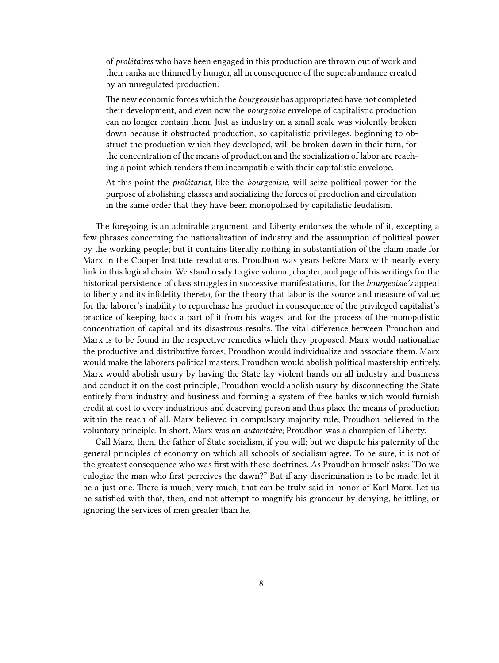of *prolétaires* who have been engaged in this production are thrown out of work and their ranks are thinned by hunger, all in consequence of the superabundance created by an unregulated production.

The new economic forces which the *bourgeoisie* has appropriated have not completed their development, and even now the *bourgeoise* envelope of capitalistic production can no longer contain them. Just as industry on a small scale was violently broken down because it obstructed production, so capitalistic privileges, beginning to obstruct the production which they developed, will be broken down in their turn, for the concentration of the means of production and the socialization of labor are reaching a point which renders them incompatible with their capitalistic envelope.

At this point the *prolétariat*, like the *bourgeoisie*, will seize political power for the purpose of abolishing classes and socializing the forces of production and circulation in the same order that they have been monopolized by capitalistic feudalism.

The foregoing is an admirable argument, and Liberty endorses the whole of it, excepting a few phrases concerning the nationalization of industry and the assumption of political power by the working people; but it contains literally nothing in substantiation of the claim made for Marx in the Cooper Institute resolutions. Proudhon was years before Marx with nearly every link in this logical chain. We stand ready to give volume, chapter, and page of his writings for the historical persistence of class struggles in successive manifestations, for the *bourgeoisie's* appeal to liberty and its infidelity thereto, for the theory that labor is the source and measure of value; for the laborer's inability to repurchase his product in consequence of the privileged capitalist's practice of keeping back a part of it from his wages, and for the process of the monopolistic concentration of capital and its disastrous results. The vital difference between Proudhon and Marx is to be found in the respective remedies which they proposed. Marx would nationalize the productive and distributive forces; Proudhon would individualize and associate them. Marx would make the laborers political masters; Proudhon would abolish political mastership entirely. Marx would abolish usury by having the State lay violent hands on all industry and business and conduct it on the cost principle; Proudhon would abolish usury by disconnecting the State entirely from industry and business and forming a system of free banks which would furnish credit at cost to every industrious and deserving person and thus place the means of production within the reach of all. Marx believed in compulsory majority rule; Proudhon believed in the voluntary principle. In short, Marx was an *autoritaire*; Proudhon was a champion of Liberty.

Call Marx, then, the father of State socialism, if you will; but we dispute his paternity of the general principles of economy on which all schools of socialism agree. To be sure, it is not of the greatest consequence who was first with these doctrines. As Proudhon himself asks: "Do we eulogize the man who first perceives the dawn?" But if any discrimination is to be made, let it be a just one. There is much, very much, that can be truly said in honor of Karl Marx. Let us be satisfied with that, then, and not attempt to magnify his grandeur by denying, belittling, or ignoring the services of men greater than he.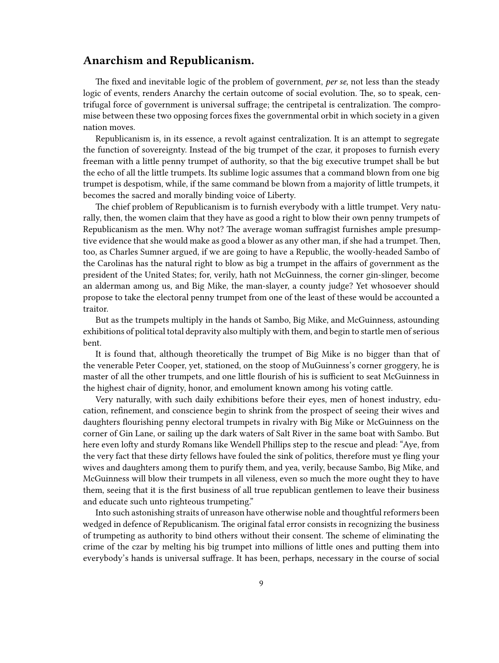## <span id="page-8-0"></span>**Anarchism and Republicanism.**

The fixed and inevitable logic of the problem of government, *per se*, not less than the steady logic of events, renders Anarchy the certain outcome of social evolution. The, so to speak, centrifugal force of government is universal suffrage; the centripetal is centralization. The compromise between these two opposing forces fixes the governmental orbit in which society in a given nation moves.

Republicanism is, in its essence, a revolt against centralization. It is an attempt to segregate the function of sovereignty. Instead of the big trumpet of the czar, it proposes to furnish every freeman with a little penny trumpet of authority, so that the big executive trumpet shall be but the echo of all the little trumpets. Its sublime logic assumes that a command blown from one big trumpet is despotism, while, if the same command be blown from a majority of little trumpets, it becomes the sacred and morally binding voice of Liberty.

The chief problem of Republicanism is to furnish everybody with a little trumpet. Very naturally, then, the women claim that they have as good a right to blow their own penny trumpets of Republicanism as the men. Why not? The average woman suffragist furnishes ample presumptive evidence that she would make as good a blower as any other man, if she had a trumpet. Then, too, as Charles Sumner argued, if we are going to have a Republic, the woolly-headed Sambo of the Carolinas has the natural right to blow as big a trumpet in the affairs of government as the president of the United States; for, verily, hath not McGuinness, the corner gin-slinger, become an alderman among us, and Big Mike, the man-slayer, a county judge? Yet whosoever should propose to take the electoral penny trumpet from one of the least of these would be accounted a traitor.

But as the trumpets multiply in the hands ot Sambo, Big Mike, and McGuinness, astounding exhibitions of political total depravity also multiply with them, and begin to startle men of serious bent.

It is found that, although theoretically the trumpet of Big Mike is no bigger than that of the venerable Peter Cooper, yet, stationed, on the stoop of MuGuinness's corner groggery, he is master of all the other trumpets, and one little flourish of his is sufficient to seat McGuinness in the highest chair of dignity, honor, and emolument known among his voting cattle.

Very naturally, with such daily exhibitions before their eyes, men of honest industry, education, refinement, and conscience begin to shrink from the prospect of seeing their wives and daughters flourishing penny electoral trumpets in rivalry with Big Mike or McGuinness on the corner of Gin Lane, or sailing up the dark waters of Salt River in the same boat with Sambo. But here even lofty and sturdy Romans like Wendell Phillips step to the rescue and plead: "Aye, from the very fact that these dirty fellows have fouled the sink of politics, therefore must ye fling your wives and daughters among them to purify them, and yea, verily, because Sambo, Big Mike, and McGuinness will blow their trumpets in all vileness, even so much the more ought they to have them, seeing that it is the first business of all true republican gentlemen to leave their business and educate such unto righteous trumpeting."

Into such astonishing straits of unreason have otherwise noble and thoughtful reformers been wedged in defence of Republicanism. The original fatal error consists in recognizing the business of trumpeting as authority to bind others without their consent. The scheme of eliminating the crime of the czar by melting his big trumpet into millions of little ones and putting them into everybody's hands is universal suffrage. It has been, perhaps, necessary in the course of social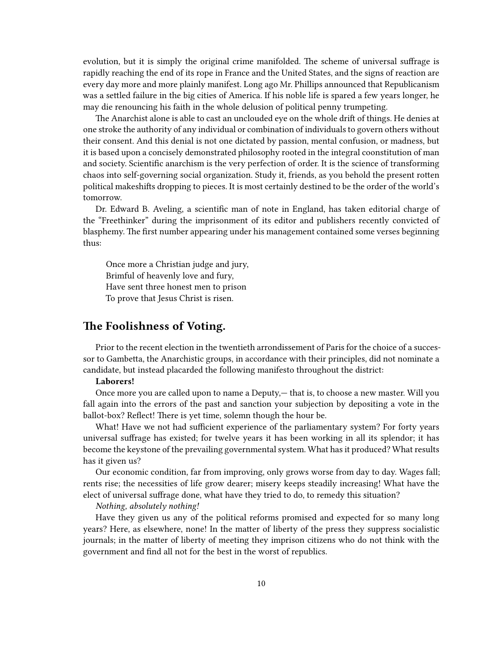evolution, but it is simply the original crime manifolded. The scheme of universal suffrage is rapidly reaching the end of its rope in France and the United States, and the signs of reaction are every day more and more plainly manifest. Long ago Mr. Phillips announced that Republicanism was a settled failure in the big cities of America. If his noble life is spared a few years longer, he may die renouncing his faith in the whole delusion of political penny trumpeting.

The Anarchist alone is able to cast an unclouded eye on the whole drift of things. He denies at one stroke the authority of any individual or combination of individuals to govern others without their consent. And this denial is not one dictated by passion, mental confusion, or madness, but it is based upon a concisely demonstrated philosophy rooted in the integral coonstitution of man and society. Scientific anarchism is the very perfection of order. It is the science of transforming chaos into self-governing social organization. Study it, friends, as you behold the present rotten political makeshifts dropping to pieces. It is most certainly destined to be the order of the world's tomorrow.

Dr. Edward B. Aveling, a scientific man of note in England, has taken editorial charge of the "Freethinker" during the imprisonment of its editor and publishers recently convicted of blasphemy. The first number appearing under his management contained some verses beginning thus:

Once more a Christian judge and jury, Brimful of heavenly love and fury, Have sent three honest men to prison To prove that Jesus Christ is risen.

# <span id="page-9-0"></span>**The Foolishness of Voting.**

Prior to the recent election in the twentieth arrondissement of Paris for the choice of a successor to Gambetta, the Anarchistic groups, in accordance with their principles, did not nominate a candidate, but instead placarded the following manifesto throughout the district:

#### **Laborers!**

Once more you are called upon to name a Deputy,— that is, to choose a new master. Will you fall again into the errors of the past and sanction your subjection by depositing a vote in the ballot-box? Reflect! There is yet time, solemn though the hour be.

What! Have we not had sufficient experience of the parliamentary system? For forty years universal suffrage has existed; for twelve years it has been working in all its splendor; it has become the keystone of the prevailing governmental system. What has it produced? What results has it given us?

Our economic condition, far from improving, only grows worse from day to day. Wages fall; rents rise; the necessities of life grow dearer; misery keeps steadily increasing! What have the elect of universal suffrage done, what have they tried to do, to remedy this situation?

#### *Nothing, absolutely nothing!*

Have they given us any of the political reforms promised and expected for so many long years? Here, as elsewhere, none! In the matter of liberty of the press they suppress socialistic journals; in the matter of liberty of meeting they imprison citizens who do not think with the government and find all not for the best in the worst of republics.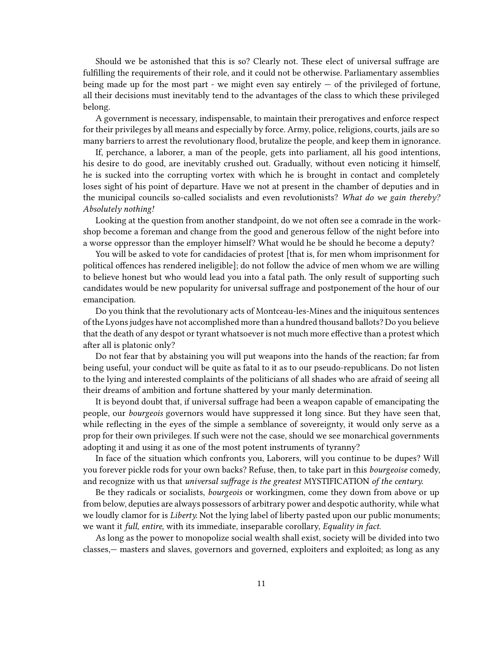Should we be astonished that this is so? Clearly not. These elect of universal suffrage are fulfilling the requirements of their role, and it could not be otherwise. Parliamentary assemblies being made up for the most part - we might even say entirely — of the privileged of fortune, all their decisions must inevitably tend to the advantages of the class to which these privileged belong.

A government is necessary, indispensable, to maintain their prerogatives and enforce respect for their privileges by all means and especially by force. Army, police, religions, courts, jails are so many barriers to arrest the revolutionary flood, brutalize the people, and keep them in ignorance.

If, perchance, a laborer, a man of the people, gets into parliament, all his good intentions, his desire to do good, are inevitably crushed out. Gradually, without even noticing it himself, he is sucked into the corrupting vortex with which he is brought in contact and completely loses sight of his point of departure. Have we not at present in the chamber of deputies and in the municipal councils so-called socialists and even revolutionists? *What do we gain thereby? Absolutely nothing!*

Looking at the question from another standpoint, do we not often see a comrade in the workshop become a foreman and change from the good and generous fellow of the night before into a worse oppressor than the employer himself? What would he be should he become a deputy?

You will be asked to vote for candidacies of protest [that is, for men whom imprisonment for political offences has rendered ineligible]; do not follow the advice of men whom we are willing to believe honest but who would lead you into a fatal path. The only result of supporting such candidates would be new popularity for universal suffrage and postponement of the hour of our emancipation.

Do you think that the revolutionary acts of Montceau-les-Mines and the iniquitous sentences of the Lyons judges have not accomplished more than a hundred thousand ballots? Do you believe that the death of any despot or tyrant whatsoever is not much more effective than a protest which after all is platonic only?

Do not fear that by abstaining you will put weapons into the hands of the reaction; far from being useful, your conduct will be quite as fatal to it as to our pseudo-republicans. Do not listen to the lying and interested complaints of the politicians of all shades who are afraid of seeing all their dreams of ambition and fortune shattered by your manly determination.

It is beyond doubt that, if universal suffrage had been a weapon capable of emancipating the people, our *bourgeois* governors would have suppressed it long since. But they have seen that, while reflecting in the eyes of the simple a semblance of sovereignty, it would only serve as a prop for their own privileges. If such were not the case, should we see monarchical governments adopting it and using it as one of the most potent instruments of tyranny?

In face of the situation which confronts you, Laborers, will you continue to be dupes? Will you forever pickle rods for your own backs? Refuse, then, to take part in this *bourgeoise* comedy, and recognize with us that *universal suffrage is the greatest* MYSTIFICATION *of the century.*

Be they radicals or socialists, *bourgeois* or workingmen, come they down from above or up from below, deputies are always possessors of arbitrary power and despotic authority, while what we loudly clamor for is *Liberty.* Not the lying label of liberty pasted upon our public monuments; we want it *full, entire,* with its immediate, inseparable corollary, *Equality in fact.*

As long as the power to monopolize social wealth shall exist, society will be divided into two classes,— masters and slaves, governors and governed, exploiters and exploited; as long as any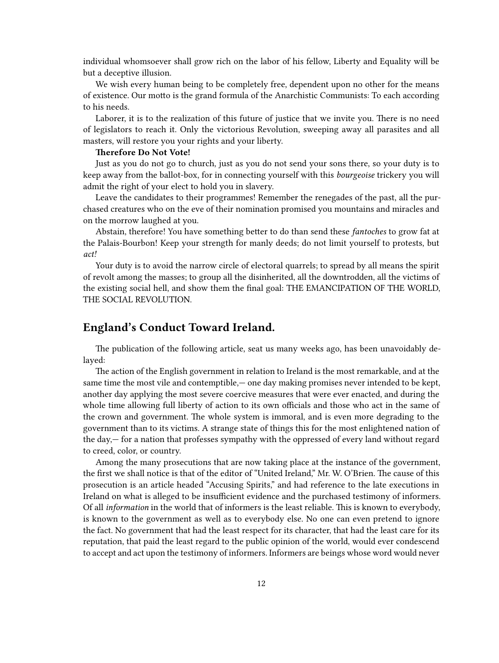individual whomsoever shall grow rich on the labor of his fellow, Liberty and Equality will be but a deceptive illusion.

We wish every human being to be completely free, dependent upon no other for the means of existence. Our motto is the grand formula of the Anarchistic Communists: To each according to his needs.

Laborer, it is to the realization of this future of justice that we invite you. There is no need of legislators to reach it. Only the victorious Revolution, sweeping away all parasites and all masters, will restore you your rights and your liberty.

#### **Therefore Do Not Vote!**

Just as you do not go to church, just as you do not send your sons there, so your duty is to keep away from the ballot-box, for in connecting yourself with this *bourgeoise* trickery you will admit the right of your elect to hold you in slavery.

Leave the candidates to their programmes! Remember the renegades of the past, all the purchased creatures who on the eve of their nomination promised you mountains and miracles and on the morrow laughed at you.

Abstain, therefore! You have something better to do than send these *fantoches* to grow fat at the Palais-Bourbon! Keep your strength for manly deeds; do not limit yourself to protests, but *act!*

Your duty is to avoid the narrow circle of electoral quarrels; to spread by all means the spirit of revolt among the masses; to group all the disinherited, all the downtrodden, all the victims of the existing social hell, and show them the final goal: THE EMANCIPATION OF THE WORLD, THE SOCIAL REVOLUTION.

### <span id="page-11-0"></span>**England's Conduct Toward Ireland.**

The publication of the following article, seat us many weeks ago, has been unavoidably delayed:

The action of the English government in relation to Ireland is the most remarkable, and at the same time the most vile and contemptible,— one day making promises never intended to be kept, another day applying the most severe coercive measures that were ever enacted, and during the whole time allowing full liberty of action to its own officials and those who act in the same of the crown and government. The whole system is immoral, and is even more degrading to the government than to its victims. A strange state of things this for the most enlightened nation of the day,— for a nation that professes sympathy with the oppressed of every land without regard to creed, color, or country.

Among the many prosecutions that are now taking place at the instance of the government, the first we shall notice is that of the editor of "United Ireland," Mr. W. O'Brien. The cause of this prosecution is an article headed "Accusing Spirits," and had reference to the late executions in Ireland on what is alleged to be insufficient evidence and the purchased testimony of informers. Of all *information* in the world that of informers is the least reliable. This is known to everybody, is known to the government as well as to everybody else. No one can even pretend to ignore the fact. No government that had the least respect for its character, that had the least care for its reputation, that paid the least regard to the public opinion of the world, would ever condescend to accept and act upon the testimony of informers. Informers are beings whose word would never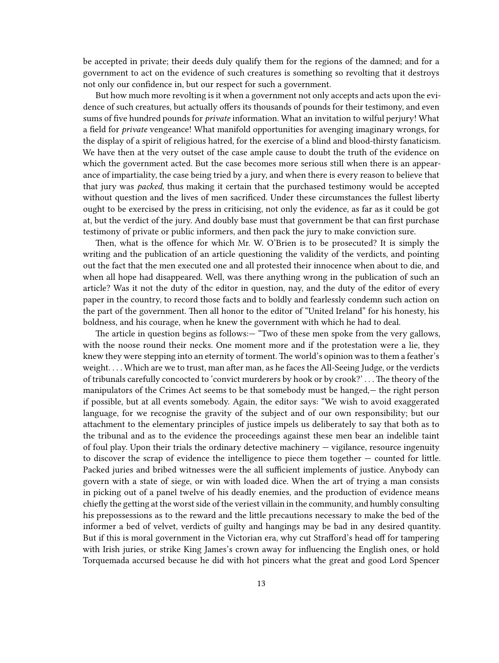be accepted in private; their deeds duly qualify them for the regions of the damned; and for a government to act on the evidence of such creatures is something so revolting that it destroys not only our confidence in, but our respect for such a government.

But how much more revolting is it when a government not only accepts and acts upon the evidence of such creatures, but actually offers its thousands of pounds for their testimony, and even sums of five hundred pounds for *private* information. What an invitation to wilful perjury! What a field for *private* vengeance! What manifold opportunities for avenging imaginary wrongs, for the display of a spirit of religious hatred, for the exercise of a blind and blood-thirsty fanaticism. We have then at the very outset of the case ample cause to doubt the truth of the evidence on which the government acted. But the case becomes more serious still when there is an appearance of impartiality, the case being tried by a jury, and when there is every reason to believe that that jury was *packed*, thus making it certain that the purchased testimony would be accepted without question and the lives of men sacrificed. Under these circumstances the fullest liberty ought to be exercised by the press in criticising, not only the evidence, as far as it could be got at, but the verdict of the jury. And doubly base must that government be that can first purchase testimony of private or public informers, and then pack the jury to make conviction sure.

Then, what is the offence for which Mr. W. O'Brien is to be prosecuted? It is simply the writing and the publication of an article questioning the validity of the verdicts, and pointing out the fact that the men executed one and all protested their innocence when about to die, and when all hope had disappeared. Well, was there anything wrong in the publication of such an article? Was it not the duty of thc editor in question, nay, and the duty of the editor of every paper in the country, to record those facts and to boldly and fearlessly condemn such action on the part of the government. Then all honor to the editor of "United Ireland" for his honesty, his boldness, and his courage, when he knew the government with which he had to deal.

The article in question begins as follows:— "Two of these men spoke from the very gallows, with the noose round their necks. One moment more and if the protestation were a lie, they knew they were stepping into an eternity of torment. The world's opinion was to them a feather's weight. . . . Which are we to trust, man after man, as he faces the All-Seeing Judge, or the verdicts of tribunals carefully concocted to 'convict murderers by hook or by crook?' . . . The theory of the manipulators of the Crimes Act seems to be that somebody must be hanged,— the right person if possible, but at all events somebody. Again, the editor says: "We wish to avoid exaggerated language, for we recognise the gravity of the subject and of our own responsibility; but our attachment to the elementary principles of justice impels us deliberately to say that both as to the tribunal and as to the evidence the proceedings against these men bear an indelible taint of foul play. Upon their trials the ordinary detective machinery — vigilance, resource ingenuity to discover the scrap of evidence the intelligence to piece them together — counted for little. Packed juries and bribed witnesses were the all sufficient implements of justice. Anybody can govern with a state of siege, or win with loaded dice. When the art of trying a man consists in picking out of a panel twelve of his deadly enemies, and the production of evidence means chiefly the getting at the worst side of the veriest villain in the community, and humbly consulting his prepossessions as to the reward and the little precautions necessary to make the bed of the informer a bed of velvet, verdicts of guilty and hangings may be bad in any desired quantity. But if this is moral government in the Victorian era, why cut Strafford's head off for tampering with Irish juries, or strike King James's crown away for influencing the English ones, or hold Torquemada accursed because he did with hot pincers what the great and good Lord Spencer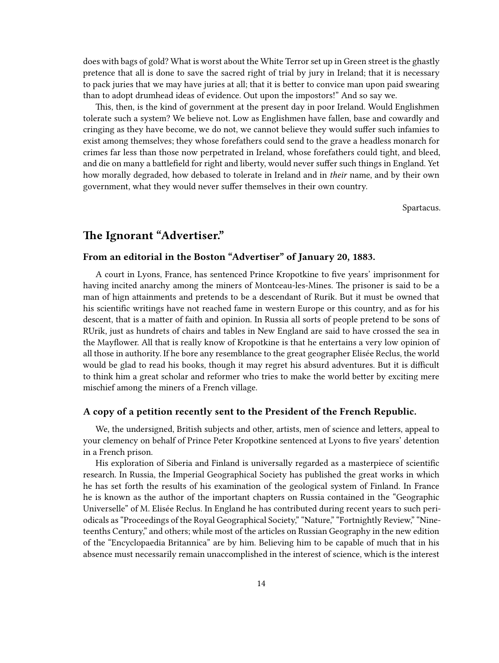does with bags of gold? What is worst about the White Terror set up in Green street is the ghastly pretence that all is done to save the sacred right of trial by jury in Ireland; that it is necessary to pack juries that we may have juries at all; that it is better to convice man upon paid swearing than to adopt drumhead ideas of evidence. Out upon the impostors!" And so say we.

This, then, is the kind of government at the present day in poor Ireland. Would Englishmen tolerate such a system? We believe not. Low as Englishmen have fallen, base and cowardly and cringing as they have become, we do not, we cannot believe they would suffer such infamies to exist among themselves; they whose forefathers could send to the grave a headless monarch for crimes far less than those now perpetrated in Ireland, whose forefathers could tight, and bleed, and die on many a battlefield for right and liberty, would never suffer such things in England. Yet how morally degraded, how debased to tolerate in Ireland and in *their* name, and by their own government, what they would never suffer themselves in their own country.

Spartacus.

# <span id="page-13-0"></span>**The Ignorant "Advertiser."**

#### <span id="page-13-1"></span>**From an editorial in the Boston "Advertiser" of January 20, 1883.**

A court in Lyons, France, has sentenced Prince Kropotkine to five years' imprisonment for having incited anarchy among the miners of Montceau-les-Mines. The prisoner is said to be a man of hign attainments and pretends to be a descendant of Rurik. But it must be owned that his scientific writings have not reached fame in western Europe or this country, and as for his descent, that is a matter of faith and opinion. In Russia all sorts of people pretend to be sons of RUrik, just as hundrets of chairs and tables in New England are said to have crossed the sea in the Mayflower. All that is really know of Kropotkine is that he entertains a very low opinion of all those in authority. If he bore any resemblance to the great geographer Elisée Reclus, the world would be glad to read his books, though it may regret his absurd adventures. But it is difficult to think him a great scholar and reformer who tries to make the world better by exciting mere mischief among the miners of a French village.

#### <span id="page-13-2"></span>**A copy of a petition recently sent to the President of the French Republic.**

We, the undersigned, British subjects and other, artists, men of science and letters, appeal to your clemency on behalf of Prince Peter Kropotkine sentenced at Lyons to five years' detention in a French prison.

His exploration of Siberia and Finland is universally regarded as a masterpiece of scientific research. In Russia, the Imperial Geographical Society has published the great works in which he has set forth the results of his examination of the geological system of Finland. In France he is known as the author of the important chapters on Russia contained in the "Geographic Universelle" of M. Elisée Reclus. In England he has contributed during recent years to such periodicals as "Proceedings of the Royal Geographical Society," "Nature," "Fortnightly Review," "Nineteenths Century," and others; while most of the articles on Russian Geography in the new edition of the "Encyclopaedia Britannica" are by him. Believing him to be capable of much that in his absence must necessarily remain unaccomplished in the interest of science, which is the interest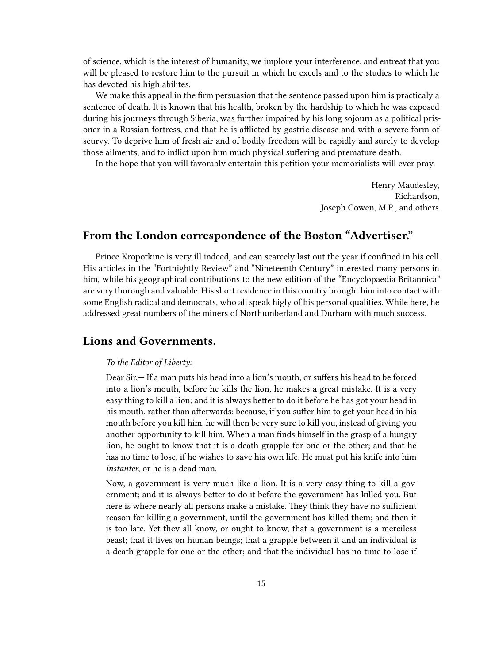of science, which is the interest of humanity, we implore your interference, and entreat that you will be pleased to restore him to the pursuit in which he excels and to the studies to which he has devoted his high abilites.

We make this appeal in the firm persuasion that the sentence passed upon him is practicaly a sentence of death. It is known that his health, broken by the hardship to which he was exposed during his journeys through Siberia, was further impaired by his long sojourn as a political prisoner in a Russian fortress, and that he is afflicted by gastric disease and with a severe form of scurvy. To deprive him of fresh air and of bodily freedom will be rapidly and surely to develop those ailments, and to inflict upon him much physical suffering and premature death.

In the hope that you will favorably entertain this petition your memorialists will ever pray.

Henry Maudesley, Richardson, Joseph Cowen, M.P., and others.

# <span id="page-14-0"></span>**From the London correspondence of the Boston "Advertiser."**

Prince Kropotkine is very ill indeed, and can scarcely last out the year if confined in his cell. His articles in the "Fortnightly Review" and "Nineteenth Century" interested many persons in him, while his geographical contributions to the new edition of the "Encyclopaedia Britannica" are very thorough and valuable. His short residence in this country brought him into contact with some English radical and democrats, who all speak higly of his personal qualities. While here, he addressed great numbers of the miners of Northumberland and Durham with much success.

## <span id="page-14-1"></span>**Lions and Governments.**

#### *To the Editor of Liberty:*

Dear Sir,— If a man puts his head into a lion's mouth, or suffers his head to be forced into a lion's mouth, before he kills the lion, he makes a great mistake. It is a very easy thing to kill a lion; and it is always better to do it before he has got your head in his mouth, rather than afterwards; because, if you suffer him to get your head in his mouth before you kill him, he will then be very sure to kill you, instead of giving you another opportunity to kill him. When a man finds himself in the grasp of a hungry lion, he ought to know that it is a death grapple for one or the other; and that he has no time to lose, if he wishes to save his own life. He must put his knife into him *instanter*, or he is a dead man.

Now, a government is very much like a lion. It is a very easy thing to kill a government; and it is always better to do it before the government has killed you. But here is where nearly all persons make a mistake. They think they have no sufficient reason for killing a government, until the government has killed them; and then it is too late. Yet they all know, or ought to know, that a government is a merciless beast; that it lives on human beings; that a grapple between it and an individual is a death grapple for one or the other; and that the individual has no time to lose if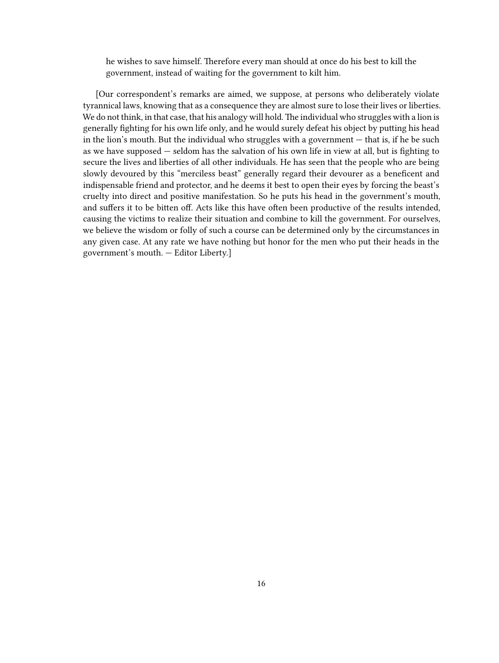he wishes to save himself. Therefore every man should at once do his best to kill the government, instead of waiting for the government to kilt him.

[Our correspondent's remarks are aimed, we suppose, at persons who deliberately violate tyrannical laws, knowing that as a consequence they are almost sure to lose their lives or liberties. We do not think, in that case, that his analogy will hold. The individual who struggles with a lion is generally fighting for his own life only, and he would surely defeat his object by putting his head in the lion's mouth. But the individual who struggles with a government — that is, if he be such as we have supposed — seldom has the salvation of his own life in view at all, but is fighting to secure the lives and liberties of all other individuals. He has seen that the people who are being slowly devoured by this "merciless beast" generally regard their devourer as a beneficent and indispensable friend and protector, and he deems it best to open their eyes by forcing the beast's cruelty into direct and positive manifestation. So he puts his head in the government's mouth, and suffers it to be bitten off. Acts like this have often been productive of the results intended, causing the victims to realize their situation and combine to kill the government. For ourselves, we believe the wisdom or folly of such a course can be determined only by the circumstances in any given case. At any rate we have nothing but honor for the men who put their heads in the government's mouth. — Editor Liberty.]